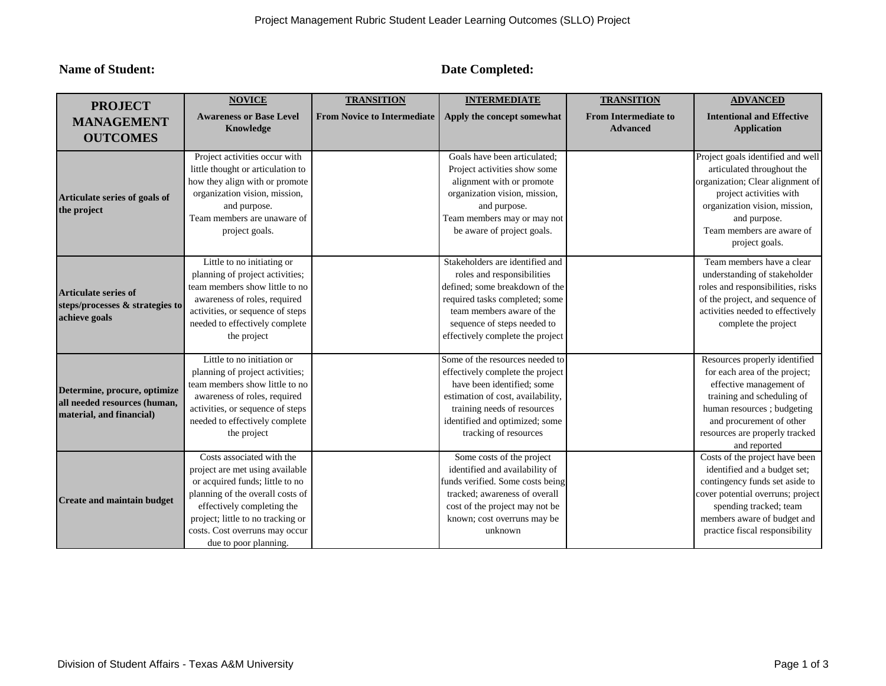**Name of Student: Date Completed: Date Completed:** 

| <b>PROJECT</b>                                                                           | <b>NOVICE</b>                                                                                                                                                                                                                                                     | <b>TRANSITION</b>                  | <b>INTERMEDIATE</b>                                                                                                                                                                                                               | <b>TRANSITION</b>                              | <b>ADVANCED</b>                                                                                                                                                                                                                     |
|------------------------------------------------------------------------------------------|-------------------------------------------------------------------------------------------------------------------------------------------------------------------------------------------------------------------------------------------------------------------|------------------------------------|-----------------------------------------------------------------------------------------------------------------------------------------------------------------------------------------------------------------------------------|------------------------------------------------|-------------------------------------------------------------------------------------------------------------------------------------------------------------------------------------------------------------------------------------|
| <b>MANAGEMENT</b><br><b>OUTCOMES</b>                                                     | <b>Awareness or Base Level</b><br>Knowledge                                                                                                                                                                                                                       | <b>From Novice to Intermediate</b> | Apply the concept somewhat                                                                                                                                                                                                        | <b>From Intermediate to</b><br><b>Advanced</b> | <b>Intentional and Effective</b><br><b>Application</b>                                                                                                                                                                              |
| Articulate series of goals of<br>the project                                             | Project activities occur with<br>little thought or articulation to<br>how they align with or promote<br>organization vision, mission,<br>and purpose.<br>Team members are unaware of<br>project goals.                                                            |                                    | Goals have been articulated;<br>Project activities show some<br>alignment with or promote<br>organization vision, mission,<br>and purpose.<br>Team members may or may not<br>be aware of project goals.                           |                                                | Project goals identified and well<br>articulated throughout the<br>organization; Clear alignment of<br>project activities with<br>organization vision, mission,<br>and purpose.<br>Team members are aware of<br>project goals.      |
| <b>Articulate series of</b><br>steps/processes & strategies to<br>achieve goals          | Little to no initiating or<br>planning of project activities;<br>team members show little to no<br>awareness of roles, required<br>activities, or sequence of steps<br>needed to effectively complete<br>the project                                              |                                    | Stakeholders are identified and<br>roles and responsibilities<br>defined; some breakdown of the<br>required tasks completed; some<br>team members aware of the<br>sequence of steps needed to<br>effectively complete the project |                                                | Team members have a clear<br>understanding of stakeholder<br>roles and responsibilities, risks<br>of the project, and sequence of<br>activities needed to effectively<br>complete the project                                       |
| Determine, procure, optimize<br>all needed resources (human,<br>material, and financial) | Little to no initiation or<br>planning of project activities;<br>team members show little to no<br>awareness of roles, required<br>activities, or sequence of steps<br>needed to effectively complete<br>the project                                              |                                    | Some of the resources needed to<br>effectively complete the project<br>have been identified; some<br>estimation of cost, availability,<br>training needs of resources<br>identified and optimized; some<br>tracking of resources  |                                                | Resources properly identified<br>for each area of the project;<br>effective management of<br>training and scheduling of<br>human resources; budgeting<br>and procurement of other<br>resources are properly tracked<br>and reported |
| <b>Create and maintain budget</b>                                                        | Costs associated with the<br>project are met using available<br>or acquired funds; little to no<br>planning of the overall costs of<br>effectively completing the<br>project; little to no tracking or<br>costs. Cost overruns may occur<br>due to poor planning. |                                    | Some costs of the project<br>identified and availability of<br>funds verified. Some costs being<br>tracked; awareness of overall<br>cost of the project may not be<br>known; cost overruns may be<br>unknown                      |                                                | Costs of the project have been<br>identified and a budget set;<br>contingency funds set aside to<br>cover potential overruns; project<br>spending tracked; team<br>members aware of budget and<br>practice fiscal responsibility    |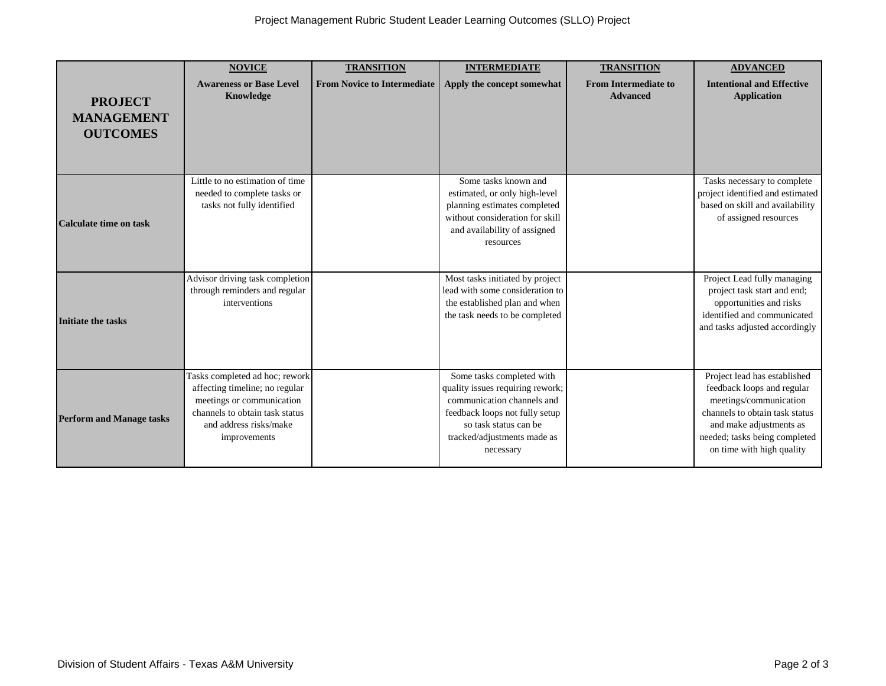| <b>PROJECT</b><br><b>MANAGEMENT</b><br><b>OUTCOMES</b> | <b>NOVICE</b><br><b>Awareness or Base Level</b><br>Knowledge                                                                                                              | <b>TRANSITION</b><br><b>From Novice to Intermediate</b> | <b>INTERMEDIATE</b><br>Apply the concept somewhat                                                                                                                                                  | <b>TRANSITION</b><br><b>From Intermediate to</b><br><b>Advanced</b> | <b>ADVANCED</b><br><b>Intentional and Effective</b><br><b>Application</b>                                                                                                                                       |
|--------------------------------------------------------|---------------------------------------------------------------------------------------------------------------------------------------------------------------------------|---------------------------------------------------------|----------------------------------------------------------------------------------------------------------------------------------------------------------------------------------------------------|---------------------------------------------------------------------|-----------------------------------------------------------------------------------------------------------------------------------------------------------------------------------------------------------------|
| Calculate time on task                                 | Little to no estimation of time<br>needed to complete tasks or<br>tasks not fully identified                                                                              |                                                         | Some tasks known and<br>estimated, or only high-level<br>planning estimates completed<br>without consideration for skill<br>and availability of assigned<br>resources                              |                                                                     | Tasks necessary to complete<br>project identified and estimated<br>based on skill and availability<br>of assigned resources                                                                                     |
| Initiate the tasks                                     | Advisor driving task completion<br>through reminders and regular<br>interventions                                                                                         |                                                         | Most tasks initiated by project<br>lead with some consideration to<br>the established plan and when<br>the task needs to be completed                                                              |                                                                     | Project Lead fully managing<br>project task start and end;<br>opportunities and risks<br>identified and communicated<br>and tasks adjusted accordingly                                                          |
| <b>Perform and Manage tasks</b>                        | Tasks completed ad hoc; rework<br>affecting timeline; no regular<br>meetings or communication<br>channels to obtain task status<br>and address risks/make<br>improvements |                                                         | Some tasks completed with<br>quality issues requiring rework;<br>communication channels and<br>feedback loops not fully setup<br>so task status can be<br>tracked/adjustments made as<br>necessary |                                                                     | Project lead has established<br>feedback loops and regular<br>meetings/communication<br>channels to obtain task status<br>and make adjustments as<br>needed; tasks being completed<br>on time with high quality |